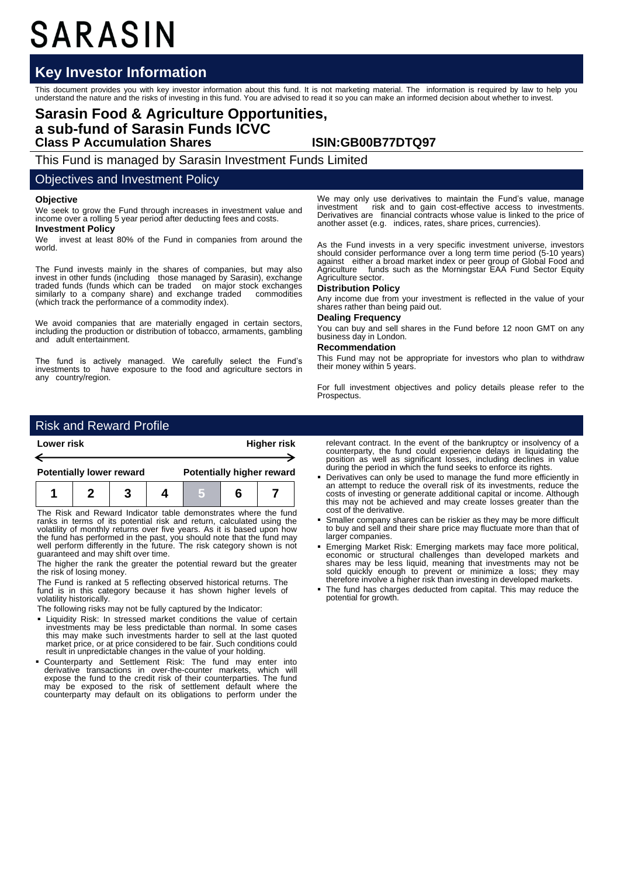# SARASIN

# **Key Investor Information**

This document provides you with key investor information about this fund. It is not marketing material. The information is required by law to help you<br>understand the nature and the risks of investing in this fund. You are

# **Sarasin Food & Agriculture Opportunities, a sub-fund of Sarasin Funds ICVC Class P Accumulation Shares ISIN:GB00B77DTQ97**

This Fund is managed by Sarasin Investment Funds Limited

## Objectives and Investment Policy

### **Objective**

We seek to grow the Fund through increases in investment value and income over a rolling 5 year period after deducting fees and costs.

#### **Investment Policy**

We invest at least 80% of the Fund in companies from around the world.

The Fund invests mainly in the shares of companies, but may also invest in other funds (including those managed by Sarasin), exchange traded funds (funds which can be traded on major stock exchanges similarly to a company share) and exchange traded commodities (which track the performance of a commodity index).

We avoid companies that are materially engaged in certain sectors, including the production or distribution of tobacco, armaments, gambling and adult entertainment.

The fund is actively managed. We carefully select the Fund's investments to have exposure to the food and agriculture sectors in any country/region.

We may only use derivatives to maintain the Fund's value, manage<br>investment risk and to gain cost-effective access to investments risk and to gain cost-effective access to investments. Derivatives are financial contracts whose value is linked to the price of another asset (e.g. indices, rates, share prices, currencies).

As the Fund invests in a very specific investment universe, investors should consider performance over a long term time period (5-10 years) against either a broad market index or peer group of Global Food and Agriculture funds such as the Morningstar EAA Fund Sector Equity Agriculture sector.

#### **Distribution Policy**

Any income due from your investment is reflected in the value of your shares rather than being paid out.

#### **Dealing Frequency**

You can buy and sell shares in the Fund before 12 noon GMT on any business day in London.

### **Recommendation**

This Fund may not be appropriate for investors who plan to withdraw their money within 5 years.

For full investment objectives and policy details please refer to the Prospectus.

# Risk and Reward Profile

| Lower risk                      |  |  |  | <b>Higher risk</b>               |  |  |  |
|---------------------------------|--|--|--|----------------------------------|--|--|--|
|                                 |  |  |  |                                  |  |  |  |
| <b>Potentially lower reward</b> |  |  |  | <b>Potentially higher reward</b> |  |  |  |
|                                 |  |  |  |                                  |  |  |  |

The Risk and Reward Indicator table demonstrates where the fund ranks in terms of its potential risk and return, calculated using the volatility of monthly returns over five years. As it is based upon how the fund has performed in the past, you should note that the fund may well perform differently in the future. The risk category shown is not guaranteed and may shift over time.

The higher the rank the greater the potential reward but the greater the risk of losing money.

The Fund is ranked at 5 reflecting observed historical returns. The fund is in this category because it has shown higher levels of volatility historically.

The following risks may not be fully captured by the Indicator:

- Liquidity Risk: In stressed market conditions the value of certain investments may be less predictable than normal. In some cases this may make such investments harder to sell at the last quoted market price, or at price considered to be fair. Such conditions could result in unpredictable changes in the value of your holding.
- Counterparty and Settlement Risk: The fund may enter into derivative transactions in over-the-counter markets, which will expose the fund to the credit risk of their counterparties. The fund may be exposed to the risk o counterparty may default on its obligations to perform under the

relevant contract. In the event of the bankruptcy or insolvency of a counterparty, the fund could experience delays in liquidating the position as well as significant losses, including declines in value during the period in which the fund seeks to enforce its rights.

- Derivatives can only be used to manage the fund more efficiently in an attempt to reduce the overall risk of its investments, reduce the costs of investing or generate additional capital or income. Although this may not be achieved and may create losses greater than the cost of the derivative.
- Smaller company shares can be riskier as they may be more difficult to buy and sell and their share price may fluctuate more than that of larger companies.
- Emerging Market Risk: Emerging markets may face more political, economic or structural challenges than developed markets and shares may be less liquid, meaning that investments may not be sold quickly enough to prevent or minimize a loss; they may therefore involve a higher risk than investing in developed markets.
- The fund has charges deducted from capital. This may reduce the potential for growth.